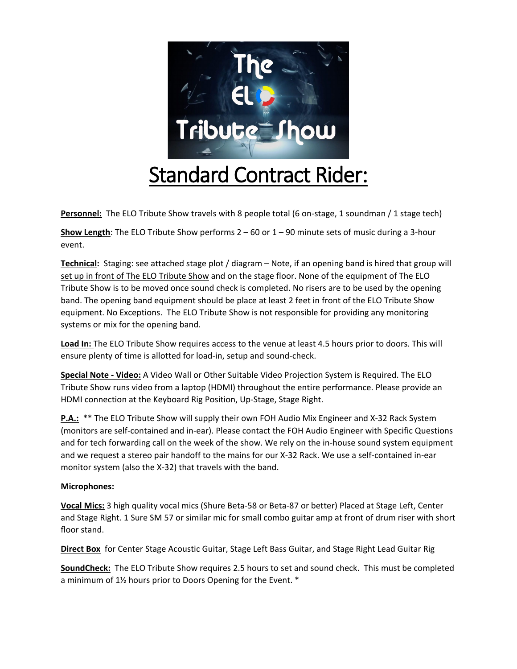

Personnel: The ELO Tribute Show travels with 8 people total (6 on-stage, 1 soundman / 1 stage tech)

**Show Length**: The ELO Tribute Show performs 2 – 60 or 1 – 90 minute sets of music during a 3-hour event.

**Technical:** Staging: see attached stage plot / diagram – Note, if an opening band is hired that group will set up in front of The ELO Tribute Show and on the stage floor. None of the equipment of The ELO Tribute Show is to be moved once sound check is completed. No risers are to be used by the opening band. The opening band equipment should be place at least 2 feet in front of the ELO Tribute Show equipment. No Exceptions. The ELO Tribute Show is not responsible for providing any monitoring systems or mix for the opening band.

**Load In:** The ELO Tribute Show requires access to the venue at least 4.5 hours prior to doors. This will ensure plenty of time is allotted for load-in, setup and sound-check.

**Special Note - Video:** A Video Wall or Other Suitable Video Projection System is Required. The ELO Tribute Show runs video from a laptop (HDMI) throughout the entire performance. Please provide an HDMI connection at the Keyboard Rig Position, Up-Stage, Stage Right.

**P.A.:** \*\* The ELO Tribute Show will supply their own FOH Audio Mix Engineer and X-32 Rack System (monitors are self-contained and in-ear). Please contact the FOH Audio Engineer with Specific Questions and for tech forwarding call on the week of the show. We rely on the in-house sound system equipment and we request a stereo pair handoff to the mains for our X-32 Rack. We use a self-contained in-ear monitor system (also the X-32) that travels with the band.

## **Microphones:**

**Vocal Mics:** 3 high quality vocal mics (Shure Beta-58 or Beta-87 or better) Placed at Stage Left, Center and Stage Right. 1 Sure SM 57 or similar mic for small combo guitar amp at front of drum riser with short floor stand.

**Direct Box** for Center Stage Acoustic Guitar, Stage Left Bass Guitar, and Stage Right Lead Guitar Rig

**SoundCheck:** The ELO Tribute Show requires 2.5 hours to set and sound check. This must be completed a minimum of 1½ hours prior to Doors Opening for the Event. \*